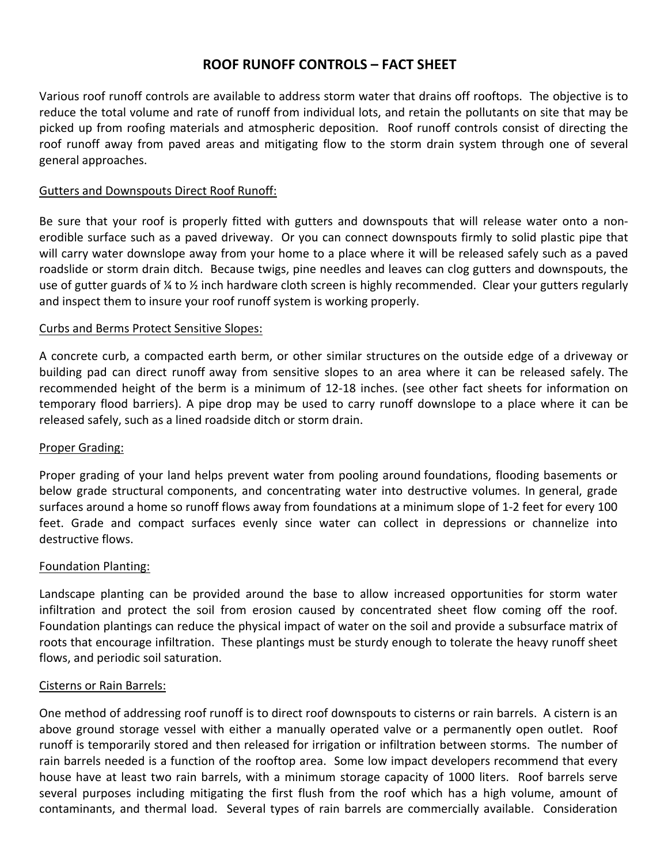# **ROOF RUNOFF CONTROLS – FACT SHEET**

Various roof runoff controls are available to address storm water that drains off rooftops. The objective is to reduce the total volume and rate of runoff from individual lots, and retain the pollutants on site that may be picked up from roofing materials and atmospheric deposition. Roof runoff controls consist of directing the roof runoff away from paved areas and mitigating flow to the storm drain system through one of several general approaches.

### Gutters and Downspouts Direct Roof Runoff:

Be sure that your roof is properly fitted with gutters and downspouts that will release water onto a nonerodible surface such as a paved driveway. Or you can connect downspouts firmly to solid plastic pipe that will carry water downslope away from your home to a place where it will be released safely such as a paved roadslide or storm drain ditch. Because twigs, pine needles and leaves can clog gutters and downspouts, the use of gutter guards of ¼ to ½ inch hardware cloth screen is highly recommended. Clear your gutters regularly and inspect them to insure your roof runoff system is working properly.

#### Curbs and Berms Protect Sensitive Slopes:

A concrete curb, a compacted earth berm, or other similar structures on the outside edge of a driveway or building pad can direct runoff away from sensitive slopes to an area where it can be released safely. The recommended height of the berm is a minimum of 12‐18 inches. (see other fact sheets for information on temporary flood barriers). A pipe drop may be used to carry runoff downslope to a place where it can be released safely, such as a lined roadside ditch or storm drain.

### Proper Grading:

Proper grading of your land helps prevent water from pooling around foundations, flooding basements or below grade structural components, and concentrating water into destructive volumes. In general, grade surfaces around a home so runoff flows away from foundations at a minimum slope of 1‐2 feet for every 100 feet. Grade and compact surfaces evenly since water can collect in depressions or channelize into destructive flows.

#### Foundation Planting:

Landscape planting can be provided around the base to allow increased opportunities for storm water infiltration and protect the soil from erosion caused by concentrated sheet flow coming off the roof. Foundation plantings can reduce the physical impact of water on the soil and provide a subsurface matrix of roots that encourage infiltration. These plantings must be sturdy enough to tolerate the heavy runoff sheet flows, and periodic soil saturation.

#### Cisterns or Rain Barrels:

One method of addressing roof runoff is to direct roof downspouts to cisterns or rain barrels. A cistern is an above ground storage vessel with either a manually operated valve or a permanently open outlet. Roof runoff is temporarily stored and then released for irrigation or infiltration between storms. The number of rain barrels needed is a function of the rooftop area. Some low impact developers recommend that every house have at least two rain barrels, with a minimum storage capacity of 1000 liters. Roof barrels serve several purposes including mitigating the first flush from the roof which has a high volume, amount of contaminants, and thermal load. Several types of rain barrels are commercially available. Consideration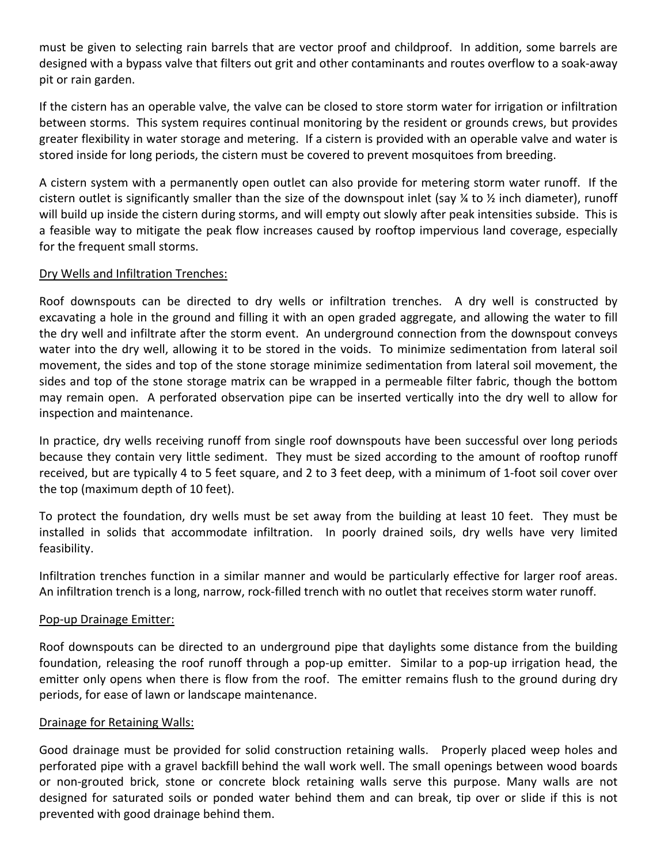must be given to selecting rain barrels that are vector proof and childproof. In addition, some barrels are designed with a bypass valve that filters out grit and other contaminants and routes overflow to a soak‐away pit or rain garden.

If the cistern has an operable valve, the valve can be closed to store storm water for irrigation or infiltration between storms. This system requires continual monitoring by the resident or grounds crews, but provides greater flexibility in water storage and metering. If a cistern is provided with an operable valve and water is stored inside for long periods, the cistern must be covered to prevent mosquitoes from breeding.

A cistern system with a permanently open outlet can also provide for metering storm water runoff. If the cistern outlet is significantly smaller than the size of the downspout inlet (say  $\frac{1}{4}$  to  $\frac{1}{2}$  inch diameter), runoff will build up inside the cistern during storms, and will empty out slowly after peak intensities subside. This is a feasible way to mitigate the peak flow increases caused by rooftop impervious land coverage, especially for the frequent small storms.

### Dry Wells and Infiltration Trenches:

Roof downspouts can be directed to dry wells or infiltration trenches. A dry well is constructed by excavating a hole in the ground and filling it with an open graded aggregate, and allowing the water to fill the dry well and infiltrate after the storm event. An underground connection from the downspout conveys water into the dry well, allowing it to be stored in the voids. To minimize sedimentation from lateral soil movement, the sides and top of the stone storage minimize sedimentation from lateral soil movement, the sides and top of the stone storage matrix can be wrapped in a permeable filter fabric, though the bottom may remain open. A perforated observation pipe can be inserted vertically into the dry well to allow for inspection and maintenance.

In practice, dry wells receiving runoff from single roof downspouts have been successful over long periods because they contain very little sediment. They must be sized according to the amount of rooftop runoff received, but are typically 4 to 5 feet square, and 2 to 3 feet deep, with a minimum of 1‐foot soil cover over the top (maximum depth of 10 feet).

To protect the foundation, dry wells must be set away from the building at least 10 feet. They must be installed in solids that accommodate infiltration. In poorly drained soils, dry wells have very limited feasibility.

Infiltration trenches function in a similar manner and would be particularly effective for larger roof areas. An infiltration trench is a long, narrow, rock‐filled trench with no outlet that receives storm water runoff.

### Pop‐up Drainage Emitter:

Roof downspouts can be directed to an underground pipe that daylights some distance from the building foundation, releasing the roof runoff through a pop-up emitter. Similar to a pop-up irrigation head, the emitter only opens when there is flow from the roof. The emitter remains flush to the ground during dry periods, for ease of lawn or landscape maintenance.

### Drainage for Retaining Walls:

Good drainage must be provided for solid construction retaining walls. Properly placed weep holes and perforated pipe with a gravel backfill behind the wall work well. The small openings between wood boards or non‐grouted brick, stone or concrete block retaining walls serve this purpose. Many walls are not designed for saturated soils or ponded water behind them and can break, tip over or slide if this is not prevented with good drainage behind them.